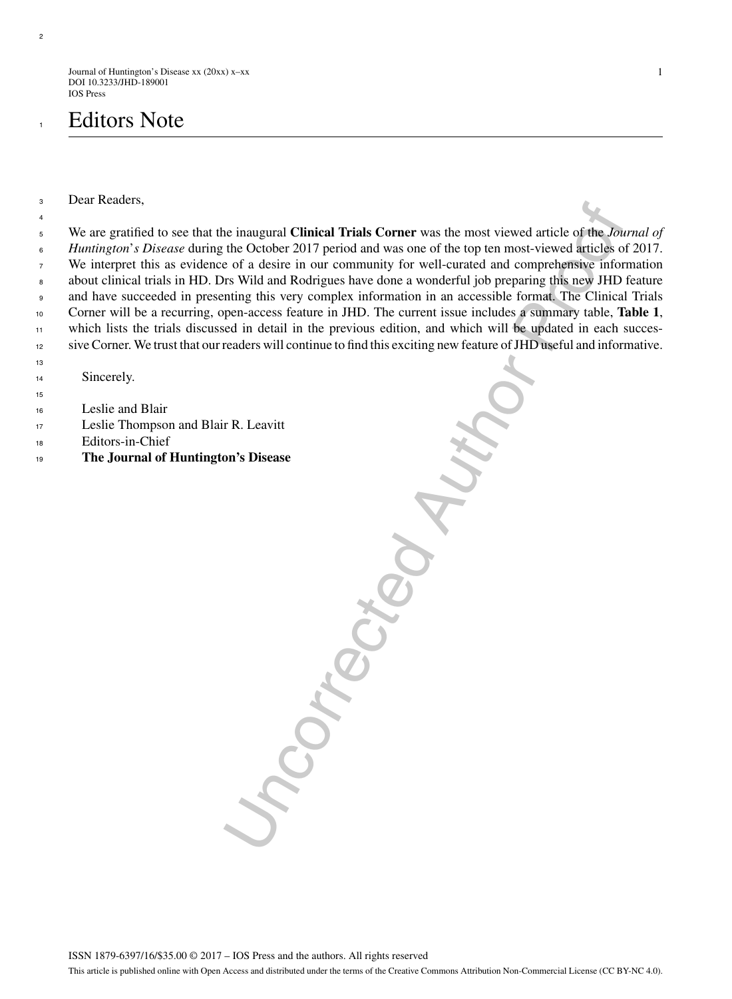Journal of Huntington's Disease xx (20xx) x–xx DOI 10.3233/JHD-189001 IOS Press

# **Editors Note**

Dear Readers,

ne inaugural Clinical Trials Corner was the most viewed article of the *Ins*<br>the October 2017 period and was one of the top ten most-viewed articles of<br>er of a desire in our community for well-curated and comprehensive inf We are gratified to see that the inaugural **Clinical Trials Corner** was the most viewed article of the *Journal of Huntington*'*s Disease* during the October 2017 period and was one of the top ten most-viewed articles of 2017. We interpret this as evidence of a desire in our community for well-curated and comprehensive information about clinical trials in HD. Drs Wild and Rodrigues have done a wonderful job preparing this new JHD feature and have succeeded in presenting this very complex information in an accessible format. The Clinical Trials Corner will be a recurring, open-access feature in JHD. The current issue includes a summary table, **Table 1**, which lists the trials discussed in detail in the previous edition, and which will be updated in each succes-sive Corner. We trust that our readers will continue to find this exciting new feature of JHD useful and informative.

Sincerely.

- Leslie and Blair
- Leslie Thompson and Blair R. Leavitt
- Editors-in-Chief
- **The Journal of Huntington's Disease**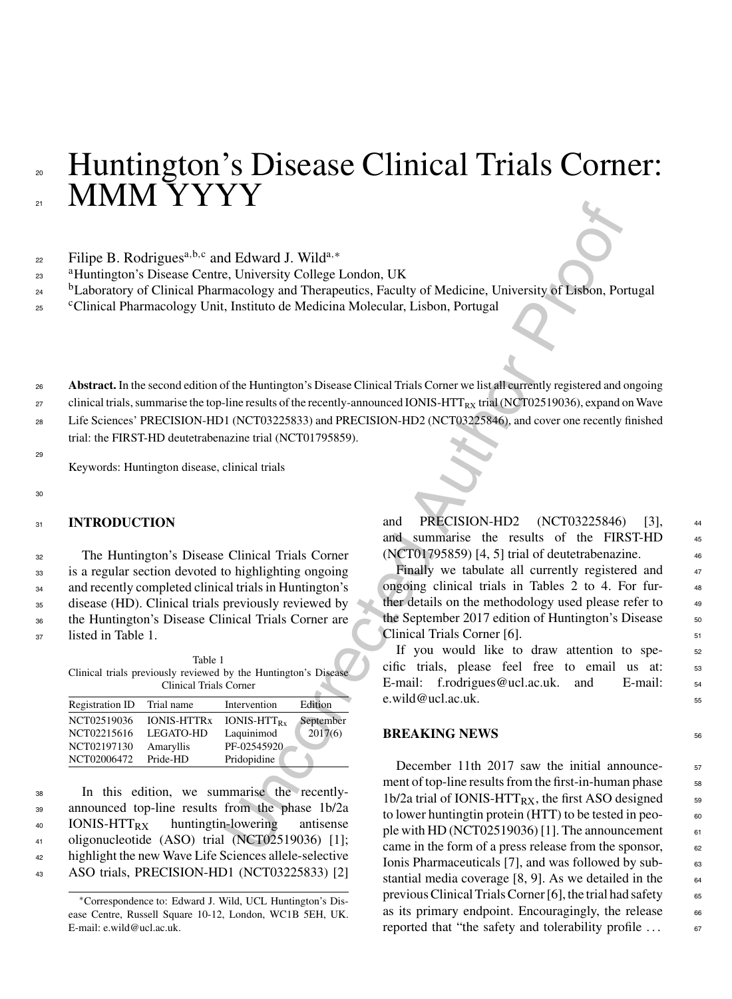# » Huntington's Disease Clinical Trials Corner: MMM YYYY

# $\epsilon$ <sup>22</sup> Filipe B. Rodrigues<sup>a,b,c</sup> and Edward J. Wild<sup>a,\*</sup>

- <sup>a</sup> <sup>23</sup> Huntington's Disease Centre, University College London, UK
- <sup>24</sup> <sup>b</sup> Laboratory of Clinical Pharmacology and Therapeutics, Faculty of Medicine, University of Lisbon, Portugal
- <sup>25</sup> <sup>c</sup>Clinical Pharmacology Unit, Instituto de Medicina Molecular, Lisbon, Portugal

<sup>26</sup> **Abstract.** In the second edition of the Huntington's Disease Clinical Trials Corner we list all currently registered and ongoing

 $27$  clinical trials, summarise the top-line results of the recently-announced IONIS-HTT<sub>RX</sub> trial (NCT02519036), expand on Wave

<sup>28</sup> Life Sciences' PRECISION-HD1 (NCT03225833) and PRECISION-HD2 (NCT03225846), and cover one recently finished trial: the FIRST-HD deutetrabenazine trial (NCT01795859).

Keywords: Huntington disease, clinical trials

#### 30

29

## <sup>31</sup> **INTRODUCTION**

 The Huntington's Disease Clinical Trials Corner is a regular section devoted to highlighting ongoing and recently completed clinical trials in Huntington's disease (HD). Clinical trials previously reviewed by the Huntington's Disease Clinical Trials Corner are listed in Table 1.

|  | Table 1                                                         |  |
|--|-----------------------------------------------------------------|--|
|  | Clinical trials previously reviewed by the Huntington's Disease |  |
|  | Clinical Trials Corner                                          |  |

| <b>Registration ID</b> | Trial name         | Intervention     | Edition   |
|------------------------|--------------------|------------------|-----------|
| NCT02519036            | <b>IONIS-HTTRx</b> | $IONIS - HTTPRx$ | September |
| NCT02215616            | <b>LEGATO-HD</b>   | Laquinimod       | 2017(6)   |
| NCT02197130            | Amaryllis          | PF-02545920      |           |
| NCT02006472            | Pride-HD           | Pridopidine      |           |

 In this edition, we summarise the recently- announced top-line results from the phase 1b/2a IONIS-HTTRX huntingtin-lowering antisense oligonucleotide (ASO) trial (NCT02519036) [1]; highlight the new Wave Life Sciences allele-selective ASO trials, PRECISION-HD1 (NCT03225833) [2]

and PRECISION-HD2 (NCT03225846) [3], <sup>44</sup> and summarise the results of the FIRST-HD <sup>45</sup> (NCT01795859) [4, 5] trial of deutetrabenazine. <sup>46</sup>

Finally we tabulate all currently registered and 47 ongoing clinical trials in Tables 2 to 4. For further details on the methodology used please refer to  $49$ the September 2017 edition of Huntington's Disease  $50$ Clinical Trials Corner [6]. 51

If you would like to draw attention to specific trials, please feel free to email us at: <sup>53</sup> E-mail: f.rodrigues@ucl.ac.uk. and E-mail:  $54$  $e.$ wild@ucl.ac.uk.  $55$ 

#### **BREAKING NEWS**

**1 Leading Markon Controllering Controllering Controllering (Controllering Markon Controllering Controllering Controllering (Controllering Markon Properties), Fig. (1980), The Huntington's Disease Clinical Trials Conner w** December 11th 2017 saw the initial announcement of top-line results from the first-in-human phase 58 1b/2a trial of IONIS-HTT<sub>RX</sub>, the first ASO designed  $\frac{59}{20}$ to lower huntingtin protein (HTT) to be tested in peo- $60$ ple with HD (NCT02519036) [1]. The announcement  $61$ came in the form of a press release from the sponsor, 62 Ionis Pharmaceuticals [7], and was followed by sub- $\frac{63}{100}$ stantial media coverage  $[8, 9]$ . As we detailed in the  $\qquad 64$ previous Clinical Trials Corner [6], the trial had safety  $65$ as its primary endpoint. Encouragingly, the release  $66$ reported that "the safety and tolerability profile  $\dots$  67

<sup>∗</sup>Correspondence to: Edward J. Wild, UCL Huntington's Disease Centre, Russell Square 10-12, London, WC1B 5EH, UK. E-mail: [e.wild@ucl.ac.uk.](mailto:e.wild@ucl.ac.uk)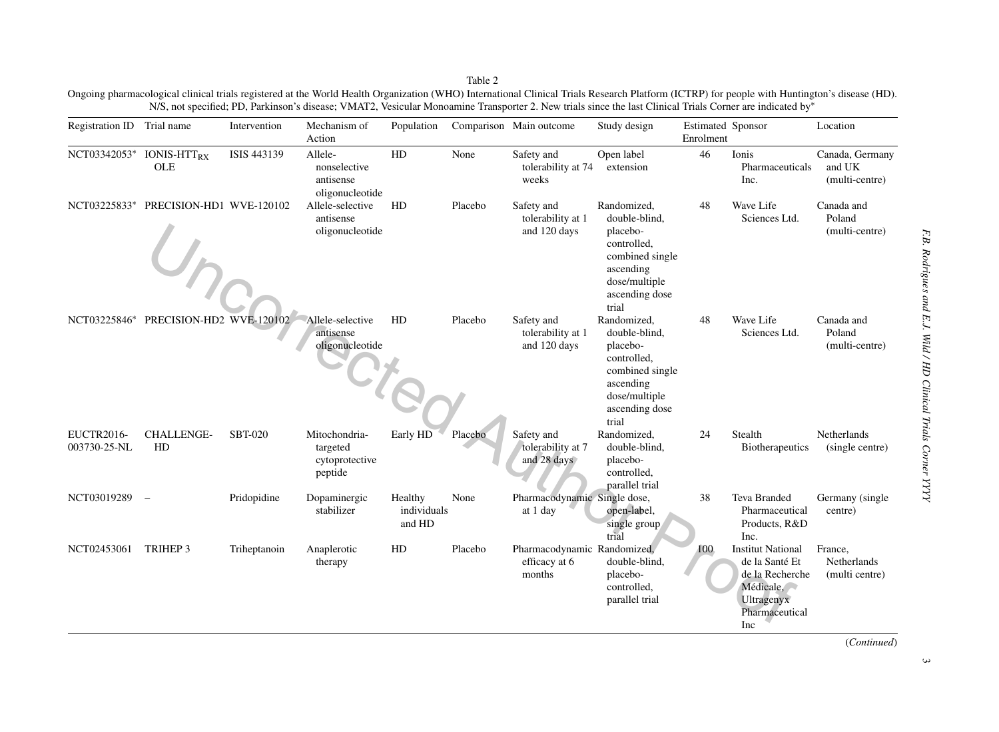Table 2 Ongoing pharmacological clinical trials registered at the World Health Organization (WHO) International Clinical Trials Research Platform (ICTRP) for people with Huntington's disease (HD). N/S, not specified; PD, Parkinson's disease; VMAT2, Vesicular Monoamine Transporter 2. New trials since the last Clinical Trials Corner are indicated by<sup>∗</sup>

| Registration ID Trial name        |                                 | Intervention   | Mechanism of<br>Action                                  | Population                       |         | Comparison Main outcome                                | Study design                                                                                                                        | <b>Estimated Sponsor</b><br>Enrolment |                                                                                                                   | Location                                    |
|-----------------------------------|---------------------------------|----------------|---------------------------------------------------------|----------------------------------|---------|--------------------------------------------------------|-------------------------------------------------------------------------------------------------------------------------------------|---------------------------------------|-------------------------------------------------------------------------------------------------------------------|---------------------------------------------|
|                                   | NCT03342053* IONIS-HTTRX<br>OLE | ISIS 443139    | Allele-<br>nonselective<br>antisense<br>oligonucleotide | HD                               | None    | Safety and<br>tolerability at 74<br>weeks              | Open label<br>extension                                                                                                             | 46                                    | Ionis<br>Pharmaceuticals<br>Inc.                                                                                  | Canada, Germany<br>and UK<br>(multi-centre) |
| NCT03225833*                      | PRECISION-HD1 WVE-120102        |                | Allele-selective<br>antisense<br>oligonucleotide        | HD                               | Placebo | Safety and<br>tolerability at 1<br>and 120 days        | Randomized,<br>double-blind,<br>placebo-<br>controlled,<br>combined single<br>ascending<br>dose/multiple<br>ascending dose<br>trial | 48                                    | Wave Life<br>Sciences Ltd.                                                                                        | Canada and<br>Poland<br>(multi-centre)      |
| NCT03225846*                      | PRECISION-HD2 WVE-120102        |                | Allele-selective<br>antisense<br>oligonucleotide        | HD                               | Placebo | Safety and<br>tolerability at 1<br>and 120 days        | Randomized,<br>double-blind,<br>placebo-<br>controlled,<br>combined single<br>ascending<br>dose/multiple<br>ascending dose<br>trial | 48                                    | Wave Life<br>Sciences Ltd.                                                                                        | Canada and<br>Poland<br>(multi-centre)      |
| <b>EUCTR2016-</b><br>003730-25-NL | <b>CHALLENGE-</b><br>HD         | <b>SBT-020</b> | Mitochondria-<br>targeted<br>cytoprotective<br>peptide  | Early HD                         | Placebo | Safety and<br>tolerability at 7<br>and 28 days         | Randomized,<br>double-blind,<br>placebo-<br>controlled.<br>parallel trial                                                           | 24                                    | Stealth<br><b>Biotherapeutics</b>                                                                                 | <b>Netherlands</b><br>(single centre)       |
| NCT03019289                       | $\overline{\phantom{m}}$        | Pridopidine    | Dopaminergic<br>stabilizer                              | Healthy<br>individuals<br>and HD | None    | Pharmacodynamic Single dose,<br>at 1 day               | open-label,<br>single group<br>trial                                                                                                | 38                                    | <b>Teva Branded</b><br>Pharmaceutical<br>Products, R&D<br>Inc.                                                    | Germany (single<br>centre)                  |
| NCT02453061                       | TRIHEP 3                        | Triheptanoin   | Anaplerotic<br>therapy                                  | ${\rm HD}$                       | Placebo | Pharmacodynamic Randomized,<br>efficacy at 6<br>months | double-blind,<br>placebo-<br>controlled,<br>parallel trial                                                                          | 100                                   | <b>Institut National</b><br>de la Santé Et<br>de la Recherche<br>Médicale,<br>Ultragenyx<br>Pharmaceutical<br>Inc | France,<br>Netherlands<br>(multi centre)    |

(*Continued*)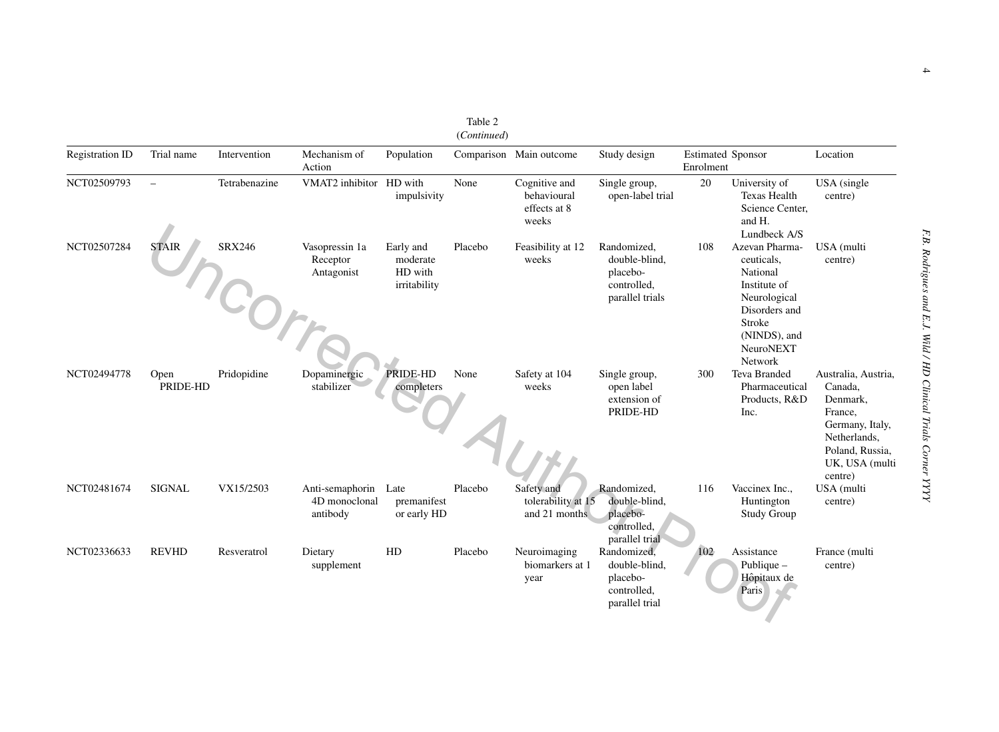| <b>Registration ID</b> | Trial name               | Intervention                  | Mechanism of<br>Action                       | Population                                       |         | Comparison Main outcome                               | Study design                                                               | <b>Estimated Sponsor</b><br>Enrolment |                                                                                                                                             | Location                                                                                                                                 |
|------------------------|--------------------------|-------------------------------|----------------------------------------------|--------------------------------------------------|---------|-------------------------------------------------------|----------------------------------------------------------------------------|---------------------------------------|---------------------------------------------------------------------------------------------------------------------------------------------|------------------------------------------------------------------------------------------------------------------------------------------|
| NCT02509793            | $\overline{\phantom{0}}$ | Tetrabenazine                 | VMAT2 inhibitor HD with                      | impulsivity                                      | None    | Cognitive and<br>behavioural<br>effects at 8<br>weeks | Single group,<br>open-label trial                                          | 20                                    | University of<br><b>Texas Health</b><br>Science Center.<br>and H.<br>Lundbeck A/S                                                           | USA (single<br>centre)                                                                                                                   |
| NCT02507284            | <b>STAIR</b>             | <b>SRX246</b><br><b>COMTE</b> | Vasopressin 1a<br>Receptor<br>Antagonist     | Early and<br>moderate<br>HD with<br>irritability | Placebo | Feasibility at 12<br>weeks                            | Randomized,<br>double-blind,<br>placebo-<br>controlled.<br>parallel trials | 108                                   | Azevan Pharma-<br>ceuticals,<br>National<br>Institute of<br>Neurological<br>Disorders and<br>Stroke<br>(NINDS), and<br>NeuroNEXT<br>Network | USA (multi<br>centre)                                                                                                                    |
| NCT02494778            | Open<br>PRIDE-HD         | Pridopidine                   | Dopaminergic<br>stabilizer                   | PRIDE-HD<br>completers                           | None    | Safety at 104<br>weeks                                | Single group,<br>open label<br>extension of<br>PRIDE-HD                    | 300                                   | Teva Branded<br>Pharmaceutical<br>Products, R&D<br>Inc.                                                                                     | Australia, Austria,<br>Canada,<br>Denmark,<br>France,<br>Germany, Italy,<br>Netherlands,<br>Poland, Russia,<br>UK, USA (multi<br>centre) |
| NCT02481674            | <b>SIGNAL</b>            | VX15/2503                     | Anti-semaphorin<br>4D monoclonal<br>antibody | Late<br>premanifest<br>or early HD               | Placebo | Safety and<br>tolerability at 15<br>and 21 months     | Randomized,<br>double-blind,<br>placebo-<br>controlled,<br>parallel trial  | 116                                   | Vaccinex Inc.,<br>Huntington<br><b>Study Group</b>                                                                                          | USA (multi<br>centre)                                                                                                                    |
| NCT02336633            | <b>REVHD</b>             | Resveratrol                   | Dietary<br>supplement                        | HD                                               | Placebo | Neuroimaging<br>biomarkers at 1<br>year               | Randomized,<br>double-blind,<br>placebo-<br>controlled.<br>parallel trial  | 102                                   | Assistance<br>Publique -<br>Hôpitaux de<br>Paris                                                                                            | France (multi<br>centre)                                                                                                                 |

(*Continued*)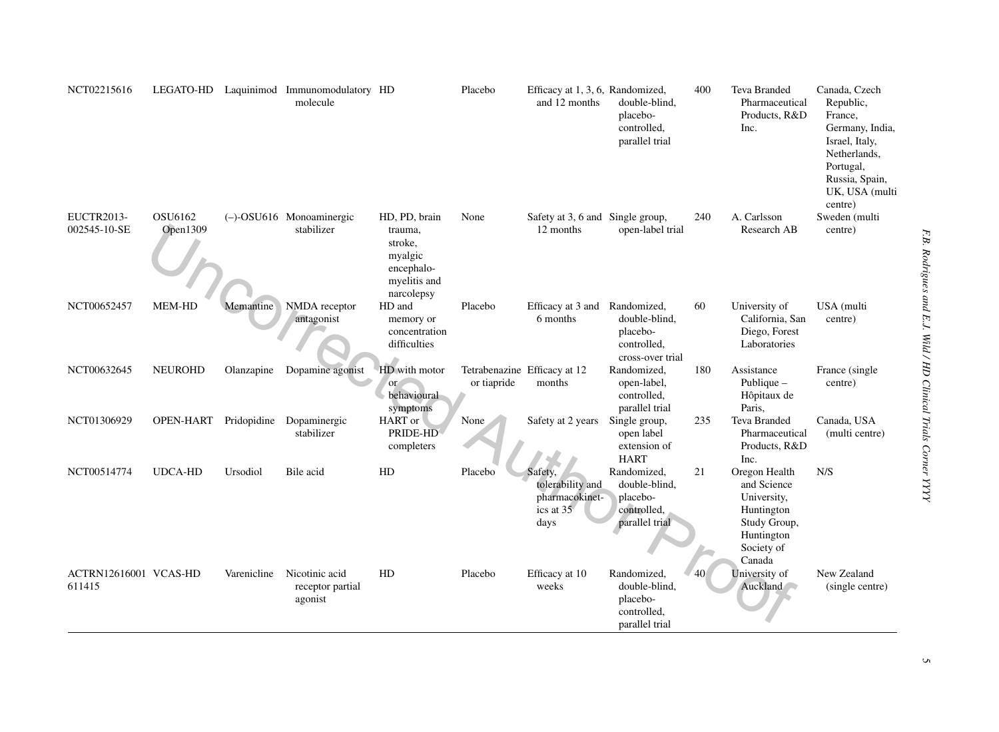| NCT02215616                       |                       |             | LEGATO-HD Laquinimod Immunomodulatory HD<br>molecule |                                                                                            | Placebo     | Efficacy at 1, 3, 6, Randomized,<br>and 12 months                  | double-blind.<br>placebo-<br>controlled,<br>parallel trial                  | 400             | <b>Teva Branded</b><br>Pharmaceutical<br>Products, R&D<br>Inc.                                                  | Canada, Czech<br>Republic,<br>France,<br>Germany, India,<br>Israel, Italy,<br>Netherlands,<br>Portugal,<br>Russia, Spain,<br>UK, USA (multi<br>centre) |
|-----------------------------------|-----------------------|-------------|------------------------------------------------------|--------------------------------------------------------------------------------------------|-------------|--------------------------------------------------------------------|-----------------------------------------------------------------------------|-----------------|-----------------------------------------------------------------------------------------------------------------|--------------------------------------------------------------------------------------------------------------------------------------------------------|
| <b>EUCTR2013-</b><br>002545-10-SE | OSU6162<br>Open1309   |             | (-)-OSU616 Monoaminergic<br>stabilizer               | HD, PD, brain<br>trauma,<br>stroke,<br>myalgic<br>encephalo-<br>myelitis and<br>narcolepsy | None        | Safety at 3, 6 and Single group,<br>12 months                      | open-label trial                                                            | 240             | A. Carlsson<br>Research AB                                                                                      | Sweden (multi<br>centre)                                                                                                                               |
| NCT00652457                       | MEM-HD                | Memantine   | NMDA receptor<br>antagonist                          | HD and<br>memory or<br>concentration<br>difficulties                                       | Placebo     | Efficacy at 3 and<br>6 months                                      | Randomized,<br>double-blind,<br>placebo-<br>controlled.<br>cross-over trial | 60              | University of<br>California, San<br>Diego, Forest<br>Laboratories                                               | USA (multi<br>centre)                                                                                                                                  |
| NCT00632645                       | <b>NEUROHD</b>        | Olanzapine  | Dopamine agonist                                     | HD with motor<br>or<br>behavioural<br>symptoms                                             | or tiapride | Tetrabenazine Efficacy at 12<br>months                             | Randomized,<br>open-label,<br>controlled,<br>parallel trial                 | 180             | Assistance<br>Publique $-$<br>Hôpitaux de<br>Paris,                                                             | France (single)<br>centre)                                                                                                                             |
| NCT01306929                       | OPEN-HART Pridopidine |             | Dopaminergic<br>stabilizer                           | HART or<br>PRIDE-HD<br>completers                                                          | None        | Safety at 2 years                                                  | Single group,<br>open label<br>extension of<br><b>HART</b>                  | 235             | Teva Branded<br>Pharmaceutical<br>Products, R&D<br>Inc.                                                         | Canada, USA<br>(multi centre)                                                                                                                          |
| NCT00514774                       | UDCA-HD               | Ursodiol    | Bile acid                                            | HD                                                                                         | Placebo     | Safety,<br>tolerability and<br>pharmacokinet-<br>ics at 35<br>days | Randomized,<br>double-blind,<br>placebo-<br>controlled,<br>parallel trial   | 21              | Oregon Health<br>and Science<br>University,<br>Huntington<br>Study Group,<br>Huntington<br>Society of<br>Canada | N/S                                                                                                                                                    |
| ACTRN12616001 VCAS-HD<br>611415   |                       | Varenicline | Nicotinic acid<br>receptor partial<br>agonist        | HD                                                                                         | Placebo     | Efficacy at 10<br>weeks                                            | Randomized,<br>double-blind,<br>placebo-<br>controlled,<br>parallel trial   | 40 <sub>1</sub> | University of<br>Auckland                                                                                       | New Zealand<br>(single centre)                                                                                                                         |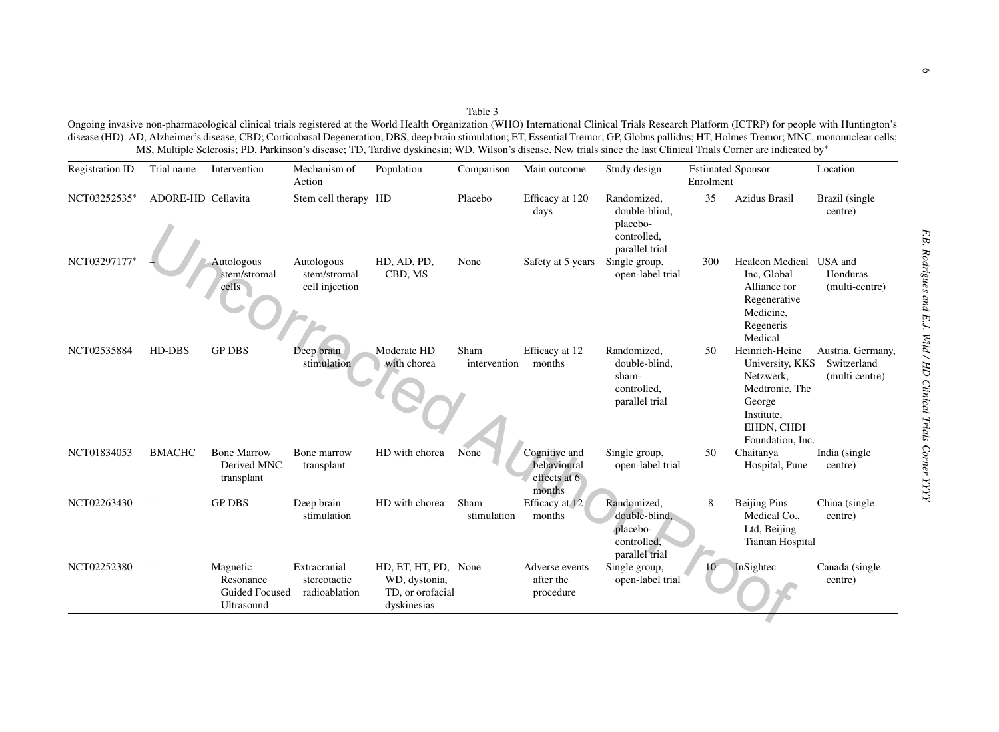6

| <b>Registration ID</b> | Trial name         | Intervention                                                 | Mechanism of<br>Action                        | Population                                                               | Comparison           | Main outcome                                           | Study design                                                              | <b>Estimated Sponsor</b><br>Enrolment |                                                                                                                            | Location                                           |
|------------------------|--------------------|--------------------------------------------------------------|-----------------------------------------------|--------------------------------------------------------------------------|----------------------|--------------------------------------------------------|---------------------------------------------------------------------------|---------------------------------------|----------------------------------------------------------------------------------------------------------------------------|----------------------------------------------------|
| NCT03252535*           | ADORE-HD Cellavita |                                                              | Stem cell therapy HD                          |                                                                          | Placebo              | Efficacy at 120<br>days                                | Randomized,<br>double-blind,<br>placebo-<br>controlled,<br>parallel trial | 35                                    | Azidus Brasil                                                                                                              | Brazil (single<br>centre)                          |
| NCT03297177            |                    | Autologous<br>stem/stromal<br>cells                          | Autologous<br>stem/stromal<br>cell injection  | HD, AD, PD,<br>CBD, MS                                                   | None                 | Safety at 5 years                                      | Single group,<br>open-label trial                                         | 300                                   | Healeon Medical USA and<br>Inc, Global<br>Alliance for<br>Regenerative<br>Medicine,<br>Regeneris<br>Medical                | Honduras<br>(multi-centre)                         |
| NCT02535884            | HD-DBS             | <b>GP DBS</b>                                                | Deep brain<br>stimulation                     | Moderate HD<br>with chorea                                               | Sham<br>intervention | Efficacy at 12<br>months                               | Randomized,<br>double-blind,<br>sham-<br>controlled.<br>parallel trial    | 50                                    | Heinrich-Heine<br>University, KKS<br>Netzwerk.<br>Medtronic, The<br>George<br>Institute,<br>EHDN, CHDI<br>Foundation, Inc. | Austria, Germany,<br>Switzerland<br>(multi centre) |
| NCT01834053            | <b>BMACHC</b>      | <b>Bone Marrow</b><br>Derived MNC<br>transplant              | Bone marrow<br>transplant                     | HD with chorea                                                           | None                 | Cognitive and<br>behavioural<br>effects at 6<br>months | Single group,<br>open-label trial                                         | 50                                    | Chaitanya<br>Hospital, Pune                                                                                                | India (single)<br>centre)                          |
| NCT02263430            |                    | <b>GP DBS</b>                                                | Deep brain<br>stimulation                     | HD with chorea                                                           | Sham<br>stimulation  | Efficacy at 12<br>months                               | Randomized,<br>double-blind,<br>placebo-<br>controlled.<br>parallel trial | 8                                     | <b>Beijing Pins</b><br>Medical Co.,<br>Ltd, Beijing<br><b>Tiantan Hospital</b>                                             | China (single<br>centre)                           |
| NCT02252380            |                    | Magnetic<br>Resonance<br><b>Guided Focused</b><br>Ultrasound | Extracranial<br>stereotactic<br>radioablation | HD, ET, HT, PD, None<br>WD, dystonia,<br>TD, or orofacial<br>dyskinesias |                      | Adverse events<br>after the<br>procedure               | Single group,<br>open-label trial                                         |                                       | InSightec                                                                                                                  | Canada (single<br>centre)                          |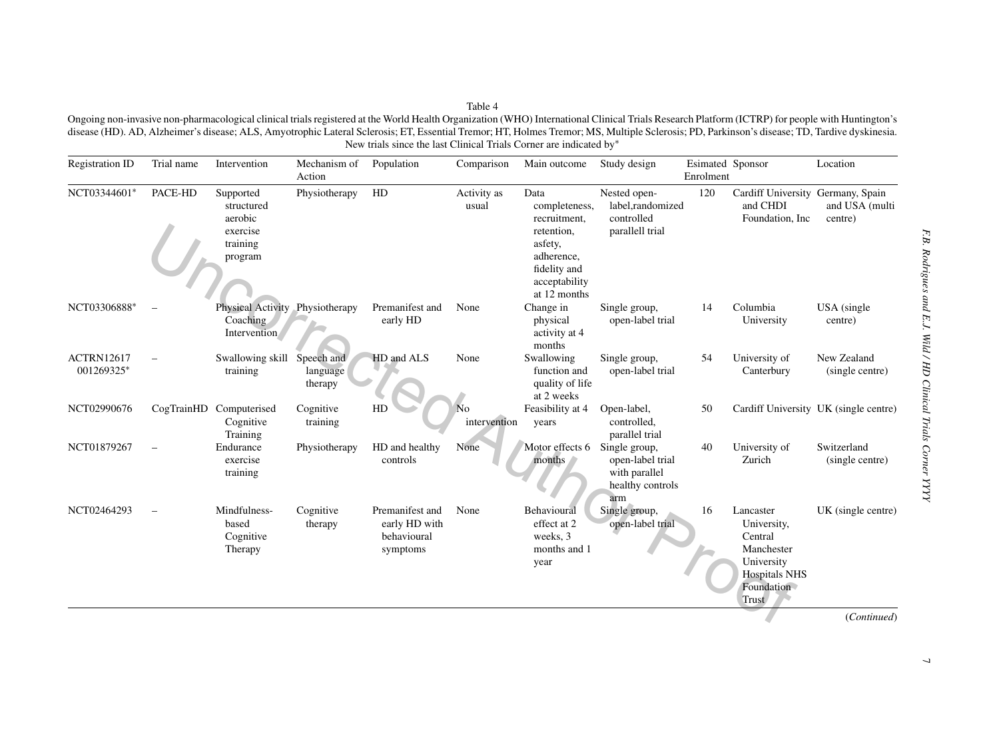Ongoing non-invasive non-pharmacological clinical trials registered at the World Health Organization (WHO) International Clinical Trials Research Platform (ICTRP) for people with Huntington's disease (HD). AD, Alzheimer's disease; ALS, Amyotrophic Lateral Sclerosis; ET, Essential Tremor; HT, Holmes Tremor; MS, Multiple Sclerosis; PD, Parkinson's disease; TD, Tardive dyskinesia. New trials since the last Clinical Trials Corner are indicated by<sup>∗</sup>

| <b>Registration ID</b>          | Trial name | Intervention                                                          | Mechanism of<br>Action            | Population                                                  | Comparison                     | Main outcome                                                                                                                  | Study design                                                                  | Esimated Sponsor<br>Enrolment |                                                                                                                | Location                              |
|---------------------------------|------------|-----------------------------------------------------------------------|-----------------------------------|-------------------------------------------------------------|--------------------------------|-------------------------------------------------------------------------------------------------------------------------------|-------------------------------------------------------------------------------|-------------------------------|----------------------------------------------------------------------------------------------------------------|---------------------------------------|
| NCT03344601*                    | PACE-HD    | Supported<br>structured<br>aerobic<br>exercise<br>training<br>program | Physiotherapy                     | HD                                                          | Activity as<br>usual           | Data<br>completeness,<br>recruitment,<br>retention,<br>asfety,<br>adherence,<br>fidelity and<br>acceptability<br>at 12 months | Nested open-<br>label,randomized<br>controlled<br>parallell trial             | 120                           | Cardiff University Germany, Spain<br>and CHDI<br>Foundation, Inc.                                              | and USA (multi<br>centre)             |
| NCT03306888*                    |            | Physical Activity Physiotherapy<br>Coaching<br>Intervention           |                                   | Premanifest and<br>early HD                                 | None                           | Change in<br>physical<br>activity at 4<br>months                                                                              | Single group,<br>open-label trial                                             | 14                            | Columbia<br>University                                                                                         | USA (single)<br>centre)               |
| <b>ACTRN12617</b><br>001269325* |            | Swallowing skill<br>training                                          | Speech and<br>language<br>therapy | HD and ALS                                                  | None                           | Swallowing<br>function and<br>quality of life<br>at 2 weeks                                                                   | Single group,<br>open-label trial                                             | 54                            | University of<br>Canterbury                                                                                    | New Zealand<br>(single centre)        |
| NCT02990676                     | CogTrainHD | Computerised<br>Cognitive<br>Training                                 | Cognitive<br>training             | HD                                                          | N <sub>o</sub><br>intervention | Feasibility at 4<br>years                                                                                                     | Open-label,<br>controlled.<br>parallel trial                                  | 50                            |                                                                                                                | Cardiff University UK (single centre) |
| NCT01879267                     |            | Endurance<br>exercise<br>training                                     | Physiotherapy                     | HD and healthy<br>controls                                  | None                           | Motor effects 6<br>months                                                                                                     | Single group,<br>open-label trial<br>with parallel<br>healthy controls<br>arm | 40                            | University of<br>Zurich                                                                                        | Switzerland<br>(single centre)        |
| NCT02464293                     |            | Mindfulness-<br>based<br>Cognitive<br>Therapy                         | Cognitive<br>therapy              | Premanifest and<br>early HD with<br>behavioural<br>symptoms | None                           | Behavioural<br>effect at 2<br>weeks, 3<br>months and 1<br>year                                                                | Single group,<br>open-label trial                                             | 16                            | Lancaster<br>University,<br>Central<br>Manchester<br>University<br><b>Hospitals NHS</b><br>Foundation<br>Trust | UK (single centre)                    |
|                                 |            |                                                                       |                                   |                                                             |                                |                                                                                                                               |                                                                               |                               |                                                                                                                | (Continued)                           |

Table 4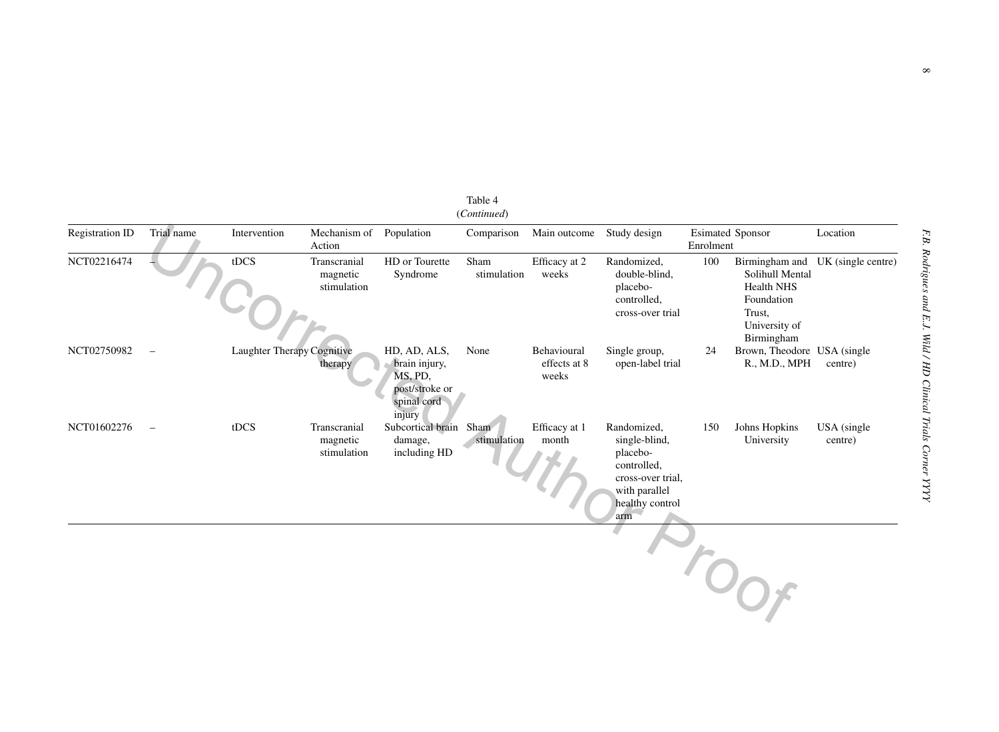| <b>Registration ID</b> | Trial name               | Intervention               | Mechanism of<br>Action                  | Population                                                                          | Comparison          | Main outcome                         | Study design                                                                                                            | <b>Esimated Sponsor</b><br>Enrolment |                                                                                                               | Location                |
|------------------------|--------------------------|----------------------------|-----------------------------------------|-------------------------------------------------------------------------------------|---------------------|--------------------------------------|-------------------------------------------------------------------------------------------------------------------------|--------------------------------------|---------------------------------------------------------------------------------------------------------------|-------------------------|
| NCT02216474            |                          | tDCS                       | Transcranial<br>magnetic<br>stimulation | HD or Tourette<br>Syndrome                                                          | Sham<br>stimulation | Efficacy at 2<br>weeks               | Randomized,<br>double-blind,<br>placebo-<br>controlled,<br>cross-over trial                                             | 100                                  | Birmingham and<br>Solihull Mental<br><b>Health NHS</b><br>Foundation<br>Trust.<br>University of<br>Birmingham | UK (single centre)      |
| NCT02750982            |                          | Laughter Therapy Cognitive | therapy                                 | HD, AD, ALS,<br>brain injury,<br>MS, PD,<br>post/stroke or<br>spinal cord<br>injury | None                | Behavioural<br>effects at 8<br>weeks | Single group,<br>open-label trial                                                                                       | 24                                   | Brown, Theodore USA (single)<br>R., M.D., MPH                                                                 | centre)                 |
| NCT01602276            | $\overline{\phantom{0}}$ | tDCS                       | Transcranial<br>magnetic<br>stimulation | Subcortical brain Sham<br>damage,<br>including HD                                   | stimulation         | Efficacy at 1<br>month               | Randomized,<br>single-blind,<br>placebo-<br>controlled,<br>cross-over trial.<br>with parallel<br>healthy control<br>arm | 150                                  | Johns Hopkins<br>University                                                                                   | USA (single)<br>centre) |
|                        |                          |                            |                                         |                                                                                     |                     |                                      |                                                                                                                         |                                      | $O_{O_f}$                                                                                                     |                         |

(*Continued*)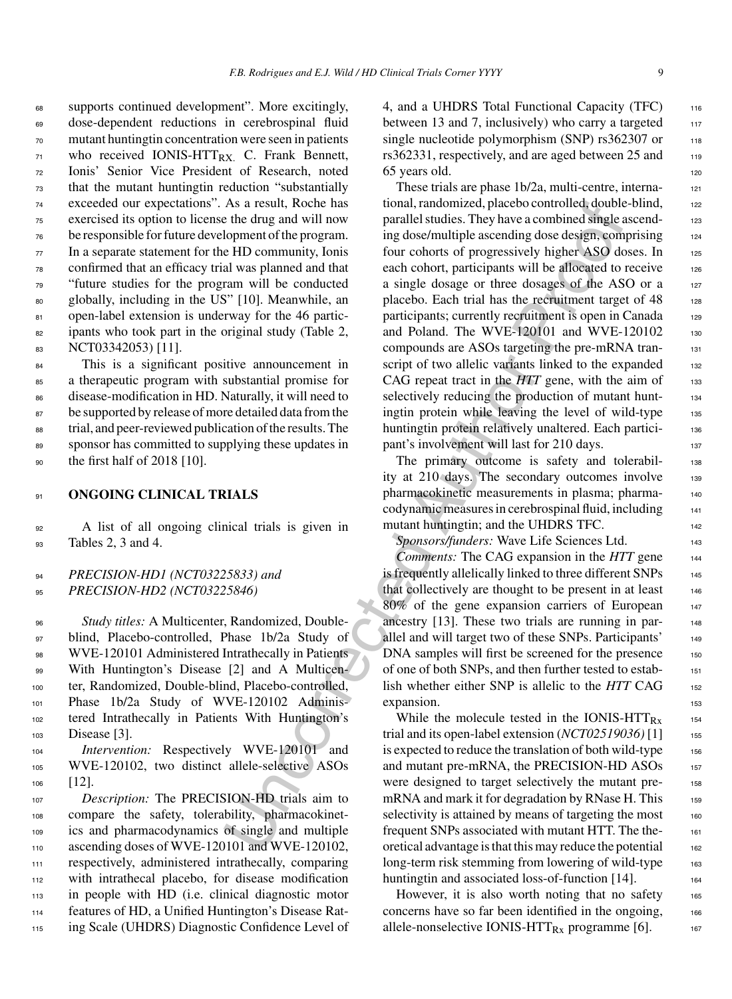supports continued development". More excitingly, dose-dependent reductions in cerebrospinal fluid mutant huntingtin concentration were seen in patients who received IONIS-HTT<sub>RX</sub>. C. Frank Bennett, Ionis' Senior Vice President of Research, noted that the mutant huntingtin reduction "substantially exceeded our expectations". As a result, Roche has exercised its option to license the drug and will now be responsible for future development of the program. In a separate statement for the HD community, Ionis confirmed that an efficacy trial was planned and that "future studies for the program will be conducted globally, including in the US" [10]. Meanwhile, an 81 open-label extension is underway for the 46 partic- ipants who took part in the original study (Table 2, 83 NCT03342053) [11].

84 This is a significant positive announcement in a therapeutic program with substantial promise for disease-modification in HD. Naturally, it will need to 87 be supported by release of more detailed data from the trial, and peer-reviewed publication of the results. The sponsor has committed to supplying these updates in the first half of 2018 [10].

## <sup>91</sup> **ONGOING CLINICAL TRIALS**

<sup>92</sup> A list of all ongoing clinical trials is given in <sup>93</sup> Tables 2, 3 and 4.

# <sup>94</sup> *PRECISION-HD1 (NCT03225833) and* <sup>95</sup> *PRECISION-HD2 (NCT03225846)*

 *Study titles:* A Multicenter, Randomized, Double- blind, Placebo-controlled, Phase 1b/2a Study of 98 WVE-120101 Administered Intrathecally in Patients 99 With Huntington's Disease [2] and A Multicen- ter, Randomized, Double-blind, Placebo-controlled, Phase 1b/2a Study of WVE-120102 Adminis- tered Intrathecally in Patients With Huntington's Disease [3].

<sup>104</sup> *Intervention:* Respectively WVE-120101 and <sup>105</sup> WVE-120102, two distinct allele-selective ASOs <sup>106</sup> [12].

 *Description:* The PRECISION-HD trials aim to compare the safety, tolerability, pharmacokinet- ics and pharmacodynamics of single and multiple 110 ascending doses of WVE-120101 and WVE-120102, respectively, administered intrathecally, comparing with intrathecal placebo, for disease modification in people with HD (i.e. clinical diagnostic motor features of HD, a Unified Huntington's Disease Rat-ing Scale (UHDRS) Diagnostic Confidence Level of 4, and a UHDRS Total Functional Capacity (TFC) 116 between 13 and 7, inclusively) who carry a targeted  $117$ single nucleotide polymorphism  $(SNP)$  rs362307 or  $118$  $rs362331$ , respectively, and are aged between  $25$  and  $119$ 65 years old. <sup>120</sup>

As a result, Roche has too inaly the controlled, double-<br>
He drug and will now<br>
marallel studies. They have a combined single is<br>the drug and will now<br>
implomentating loss elasting conditions are the Dommunity, Ionis<br>
for These trials are phase 1b/2a, multi-centre, international, randomized, placebo controlled, double-blind, 122 parallel studies. They have a combined single ascending dose/multiple ascending dose design, comprising 124 four cohorts of progressively higher ASO doses. In 125 each cohort, participants will be allocated to receive 126 a single dosage or three dosages of the ASO or a 127 placebo. Each trial has the recruitment target of  $48$  128 participants; currently recruitment is open in Canada 129 and Poland. The WVE-120101 and WVE-120102 130 compounds are ASOs targeting the pre-mRNA tran- <sup>131</sup> script of two allelic variants linked to the expanded 132 CAG repeat tract in the *HTT* gene, with the aim of 133 selectively reducing the production of mutant huntingtin protein while leaving the level of wild-type 135 huntingtin protein relatively unaltered. Each partici-<br>136 pant's involvement will last for 210 days.

The primary outcome is safety and tolerabil-<br>138 ity at 210 days. The secondary outcomes involve 139 pharmacokinetic measurements in plasma; pharma- <sup>140</sup> codynamic measures in cerebrospinal fluid, including <sup>141</sup> mutant huntingtin; and the UHDRS TFC.

*Sponsors/funders:* Wave Life Sciences Ltd. <sup>143</sup>

*Comments:* The CAG expansion in the *HTT* gene <sup>144</sup> is frequently allelically linked to three different SNPs 145 that collectively are thought to be present in at least 146 80% of the gene expansion carriers of European 147 ancestry [13]. These two trials are running in parallel and will target two of these SNPs. Participants' 149 DNA samples will first be screened for the presence 150 of one of both SNPs, and then further tested to estab- <sup>151</sup> lish whether either SNP is allelic to the *HTT* CAG 152 expansion.

While the molecule tested in the IONIS- $HTT_{Rx}$  154 trial and its open-label extension (*NCT02519036*)<sup>[1]</sup> 155 is expected to reduce the translation of both wild-type  $_{156}$ and mutant pre-mRNA, the PRECISION-HD ASOs 157 were designed to target selectively the mutant premRNA and mark it for degradation by RNase H. This  $_{159}$ selectivity is attained by means of targeting the most 160 frequent SNPs associated with mutant HTT. The the- <sup>161</sup> oretical advantage is that this may reduce the potential 162 long-term risk stemming from lowering of wild-type 163 huntingtin and associated loss-of-function  $[14]$ .

However, it is also worth noting that no safety  $165$ concerns have so far been identified in the ongoing, 166 allele-nonselective IONIS-HTT $_{Rx}$  programme [6].  $_{167}$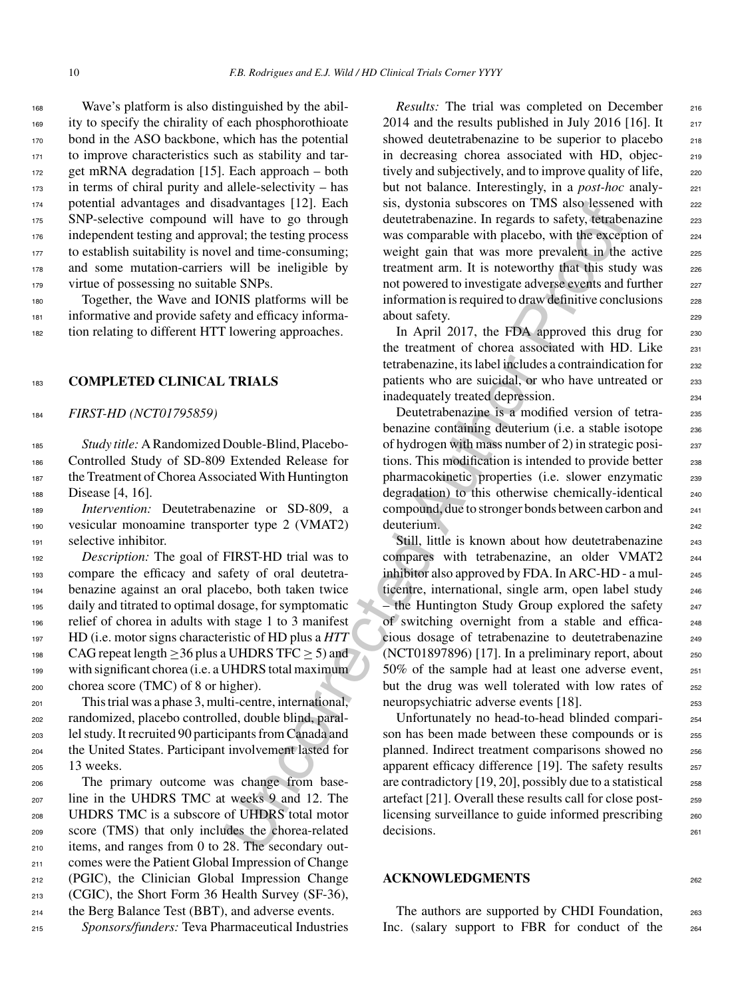Wave's platform is also distinguished by the abil- ity to specify the chirality of each phosphorothioate bond in the ASO backbone, which has the potential to improve characteristics such as stability and tar- get mRNA degradation [15]. Each approach – both in terms of chiral purity and allele-selectivity – has potential advantages and disadvantages [12]. Each SNP-selective compound will have to go through independent testing and approval; the testing process to establish suitability is novel and time-consuming; and some mutation-carriers will be ineligible by 179 virtue of possessing no suitable SNPs.

<sup>180</sup> Together, the Wave and IONIS platforms will be <sup>181</sup> informative and provide safety and efficacy informa-<sup>182</sup> tion relating to different HTT lowering approaches.

#### <sup>183</sup> **COMPLETED CLINICAL TRIALS**

<sup>184</sup> *FIRST-HD (NCT01795859)*

 *Study title:* A Randomized Double-Blind, Placebo- Controlled Study of SD-809 Extended Release for the Treatment of Chorea Associated With Huntington Disease [4, 16].

<sup>189</sup> *Intervention:* Deutetrabenazine or SD-809, a <sup>190</sup> vesicular monoamine transporter type 2 (VMAT2) <sup>191</sup> selective inhibitor.

 *Description:* The goal of FIRST-HD trial was to compare the efficacy and safety of oral deutetra- benazine against an oral placebo, both taken twice daily and titrated to optimal dosage, for symptomatic relief of chorea in adults with stage 1 to 3 manifest HD (i.e. motor signs characteristic of HD plus a *HTT* 198 CAG repeat length  $>$ 36 plus a UHDRS TFC  $>$  5) and with significant chorea (i.e. a UHDRS total maximum chorea score (TMC) of 8 or higher).

 This trial was a phase 3, multi-centre, international, randomized, placebo controlled, double blind, paral- lel study. It recruited 90 participants from Canada and the United States. Participant involvement lasted for 13 weeks.

 The primary outcome was change from base- line in the UHDRS TMC at weeks 9 and 12. The UHDRS TMC is a subscore of UHDRS total motor score (TMS) that only includes the chorea-related items, and ranges from 0 to 28. The secondary out- comes were the Patient Global Impression of Change (PGIC), the Clinician Global Impression Change (CGIC), the Short Form 36 Health Survey (SF-36), the Berg Balance Test (BBT), and adverse events.

<sup>215</sup> *Sponsors/funders:* Teva Pharmaceutical Industries

*Results:* The trial was completed on December 216 2014 and the results published in July 2016 [16]. It  $_{217}$ showed deutetrabenazine to be superior to placebo 218 in decreasing chorea associated with HD, objec- <sup>219</sup> tively and subjectively, and to improve quality of life, <sub>220</sub> but not balance. Interestingly, in a *post-hoc* analysis, dystonia subscores on TMS also lessened with 222 deutetrabenazine. In regards to safety, tetrabenazine 223 was comparable with placebo, with the exception of  $224$ weight gain that was more prevalent in the active 225 treatment arm. It is noteworthy that this study was 226 not powered to investigate adverse events and further 227 information is required to draw definitive conclusions 228 about safety.

In April 2017, the FDA approved this drug for  $230$ the treatment of chorea associated with HD. Like  $_{231}$ tetrabenazine, its label includes a contraindication for 232 patients who are suicidal, or who have untreated or 233 inadequately treated depression. 234

Deutetrabenazine is a modified version of tetra-<br>235 benazine containing deuterium (i.e. a stable isotope 236 of hydrogen with mass number of 2) in strategic posi- <sup>237</sup> tions. This modification is intended to provide better <sub>238</sub> pharmacokinetic properties (i.e. slower enzymatic 239 degradation) to this otherwise chemically-identical 240 compound, due to stronger bonds between carbon and <sup>241</sup> deuterium.

sadvantages [12]. Each sas, opstoma subscores on TMS associeties<br>but the test propose and the contemplate the proof of the energy of the energy of the energy of the energy of the energy of the energy of the energy of the e Still, little is known about how deutetrabenazine 243 compares with tetrabenazine, an older VMAT2 244 inhibitor also approved by FDA. In ARC-HD - a mul- <sup>245</sup> ticentre, international, single arm, open label study 246  $-$  the Huntington Study Group explored the safety  $247$ of switching overnight from a stable and effica- <sup>248</sup> cious dosage of tetrabenazine to deutetrabenazine <sup>249</sup>  $(NCT01897896)$  [17]. In a preliminary report, about  $250$ 50% of the sample had at least one adverse event, <sup>251</sup> but the drug was well tolerated with low rates of 252 neuropsychiatric adverse events [18]. 253

Unfortunately no head-to-head blinded compari- <sup>254</sup> son has been made between these compounds or is 255 planned. Indirect treatment comparisons showed no 256 apparent efficacy difference [19]. The safety results 257 are contradictory  $[19, 20]$ , possibly due to a statistical  $258$ artefact [21]. Overall these results call for close post- <sup>259</sup> licensing surveillance to guide informed prescribing 260 decisions.

#### **ACKNOWLEDGMENTS** <sup>262</sup>

The authors are supported by CHDI Foundation, 263 Inc. (salary support to FBR for conduct of the 264